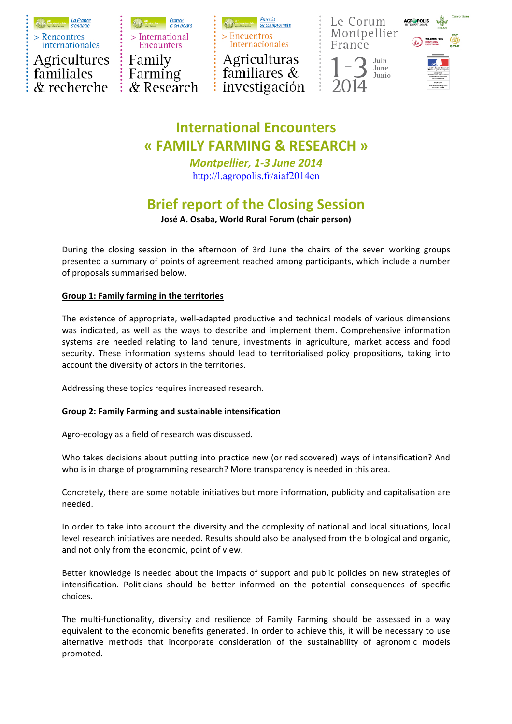

> International **Encounters** Family Farming  $\&$  Research



familiares  $\&$ investigación





## **International Encounters « FAMILY FARMING & RESEARCH »**

*Montpellier, 1-3 June 2014* http://l.agropolis.fr/aiaf2014en

# **Brief report of the Closing Session**

### **José A. Osaba, World Rural Forum (chair person)**

During the closing session in the afternoon of 3rd June the chairs of the seven working groups presented a summary of points of agreement reached among participants, which include a number of proposals summarised below.

## **Group 1: Family farming in the territories**

The existence of appropriate, well-adapted productive and technical models of various dimensions was indicated, as well as the ways to describe and implement them. Comprehensive information systems are needed relating to land tenure, investments in agriculture, market access and food security. These information systems should lead to territorialised policy propositions, taking into account the diversity of actors in the territories.

Addressing these topics requires increased research.

## **Group 2: Family Farming and sustainable intensification**

Agro-ecology as a field of research was discussed.

Who takes decisions about putting into practice new (or rediscovered) ways of intensification? And who is in charge of programming research? More transparency is needed in this area.

Concretely, there are some notable initiatives but more information, publicity and capitalisation are needed.

In order to take into account the diversity and the complexity of national and local situations, local level research initiatives are needed. Results should also be analysed from the biological and organic, and not only from the economic, point of view.

Better knowledge is needed about the impacts of support and public policies on new strategies of intensification. Politicians should be better informed on the potential consequences of specific choices. 

The multi-functionality, diversity and resilience of Family Farming should be assessed in a way equivalent to the economic benefits generated. In order to achieve this, it will be necessary to use alternative methods that incorporate consideration of the sustainability of agronomic models promoted.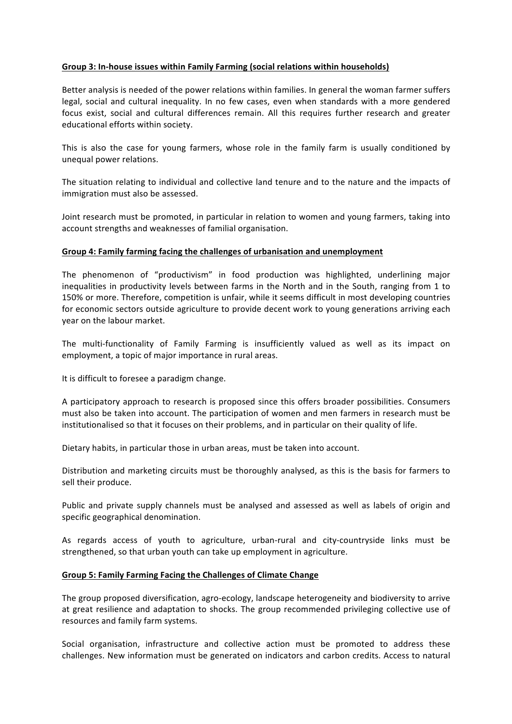### Group 3: In-house issues within Family Farming (social relations within households)

Better analysis is needed of the power relations within families. In general the woman farmer suffers legal, social and cultural inequality. In no few cases, even when standards with a more gendered focus exist, social and cultural differences remain. All this requires further research and greater educational efforts within society.

This is also the case for young farmers, whose role in the family farm is usually conditioned by unequal power relations.

The situation relating to individual and collective land tenure and to the nature and the impacts of immigration must also be assessed.

Joint research must be promoted, in particular in relation to women and young farmers, taking into account strengths and weaknesses of familial organisation.

#### Group 4: Family farming facing the challenges of urbanisation and unemployment

The phenomenon of "productivism" in food production was highlighted, underlining major inequalities in productivity levels between farms in the North and in the South, ranging from 1 to 150% or more. Therefore, competition is unfair, while it seems difficult in most developing countries for economic sectors outside agriculture to provide decent work to young generations arriving each year on the labour market.

The multi-functionality of Family Farming is insufficiently valued as well as its impact on employment, a topic of major importance in rural areas.

It is difficult to foresee a paradigm change.

A participatory approach to research is proposed since this offers broader possibilities. Consumers must also be taken into account. The participation of women and men farmers in research must be institutionalised so that it focuses on their problems, and in particular on their quality of life.

Dietary habits, in particular those in urban areas, must be taken into account.

Distribution and marketing circuits must be thoroughly analysed, as this is the basis for farmers to sell their produce.

Public and private supply channels must be analysed and assessed as well as labels of origin and specific geographical denomination.

As regards access of youth to agriculture, urban-rural and city-countryside links must be strengthened, so that urban youth can take up employment in agriculture.

#### **Group 5: Family Farming Facing the Challenges of Climate Change**

The group proposed diversification, agro-ecology, landscape heterogeneity and biodiversity to arrive at great resilience and adaptation to shocks. The group recommended privileging collective use of resources and family farm systems.

Social organisation, infrastructure and collective action must be promoted to address these challenges. New information must be generated on indicators and carbon credits. Access to natural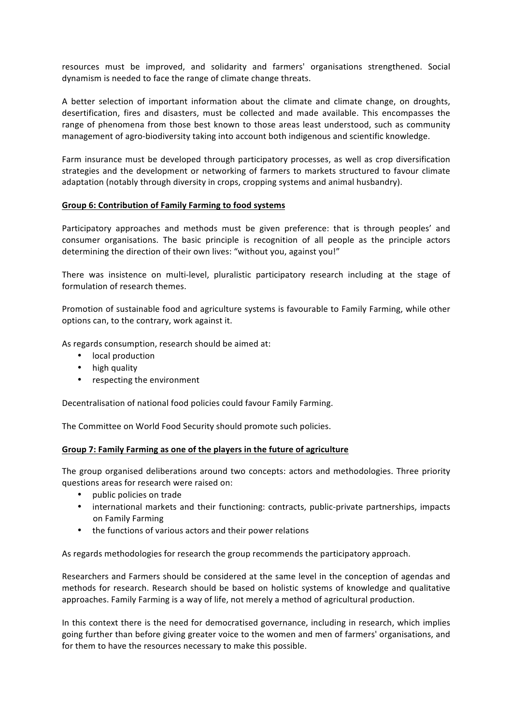resources must be improved, and solidarity and farmers' organisations strengthened. Social dynamism is needed to face the range of climate change threats.

A better selection of important information about the climate and climate change, on droughts, desertification, fires and disasters, must be collected and made available. This encompasses the range of phenomena from those best known to those areas least understood, such as community management of agro-biodiversity taking into account both indigenous and scientific knowledge.

Farm insurance must be developed through participatory processes, as well as crop diversification strategies and the development or networking of farmers to markets structured to favour climate adaptation (notably through diversity in crops, cropping systems and animal husbandry).

#### **Group 6: Contribution of Family Farming to food systems**

Participatory approaches and methods must be given preference: that is through peoples' and consumer organisations. The basic principle is recognition of all people as the principle actors determining the direction of their own lives: "without you, against you!"

There was insistence on multi-level, pluralistic participatory research including at the stage of formulation of research themes.

Promotion of sustainable food and agriculture systems is favourable to Family Farming, while other options can, to the contrary, work against it.

As regards consumption, research should be aimed at:

- local production
- high quality
- respecting the environment

Decentralisation of national food policies could favour Family Farming.

The Committee on World Food Security should promote such policies.

#### Group 7: Family Farming as one of the players in the future of agriculture

The group organised deliberations around two concepts: actors and methodologies. Three priority questions areas for research were raised on:

- public policies on trade
- international markets and their functioning: contracts, public-private partnerships, impacts on Family Farming
- the functions of various actors and their power relations

As regards methodologies for research the group recommends the participatory approach.

Researchers and Farmers should be considered at the same level in the conception of agendas and methods for research. Research should be based on holistic systems of knowledge and qualitative approaches. Family Farming is a way of life, not merely a method of agricultural production.

In this context there is the need for democratised governance, including in research, which implies going further than before giving greater voice to the women and men of farmers' organisations, and for them to have the resources necessary to make this possible.